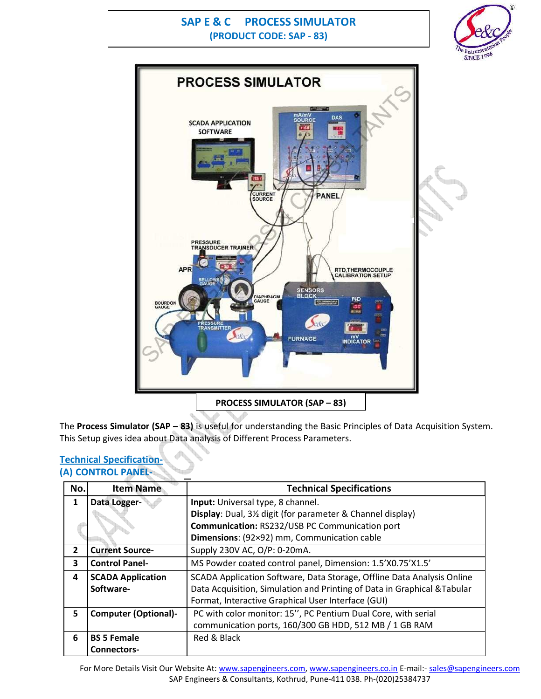## **SAP E & C PROCESS SIMULATOR (PRODUCT CODE: SAP - 83)**





The **Process Simulator (SAP – 83)** is useful for understanding the Basic Principles of Data Acquisition System. This Setup gives idea about Data analysis of Different Process Parameters.

# **Technical Specification-**

| (A) CONTROL PANEL- |  |
|--------------------|--|
|--------------------|--|

| No.            | <b>Item Name</b>            | <b>Technical Specifications</b>                                          |
|----------------|-----------------------------|--------------------------------------------------------------------------|
| 1              | Data Logger-                | Input: Universal type, 8 channel.                                        |
|                |                             | Display: Dual, 3½ digit (for parameter & Channel display)                |
|                |                             | Communication: RS232/USB PC Communication port                           |
|                |                             | Dimensions: (92×92) mm, Communication cable                              |
| $\overline{2}$ | <b>Current Source-</b>      | Supply 230V AC, O/P: 0-20mA.                                             |
| 3              | <b>Control Panel-</b>       | MS Powder coated control panel, Dimension: 1.5'X0.75'X1.5'               |
| 4              | <b>SCADA Application</b>    | SCADA Application Software, Data Storage, Offline Data Analysis Online   |
|                | Software-                   | Data Acquisition, Simulation and Printing of Data in Graphical & Tabular |
|                |                             | Format, Interactive Graphical User Interface (GUI)                       |
| 5              | <b>Computer (Optional)-</b> | PC with color monitor: 15", PC Pentium Dual Core, with serial            |
|                |                             | communication ports, 160/300 GB HDD, 512 MB / 1 GB RAM                   |
| 6              | <b>BS 5 Female</b>          | Red & Black                                                              |
|                | Connectors-                 |                                                                          |

For More Details Visit Our Website At: www.sapengineers.com, www.sapengineers.co.in E-mail:- sales@sapengineers.com SAP Engineers & Consultants, Kothrud, Pune-411 038. Ph-(020)25384737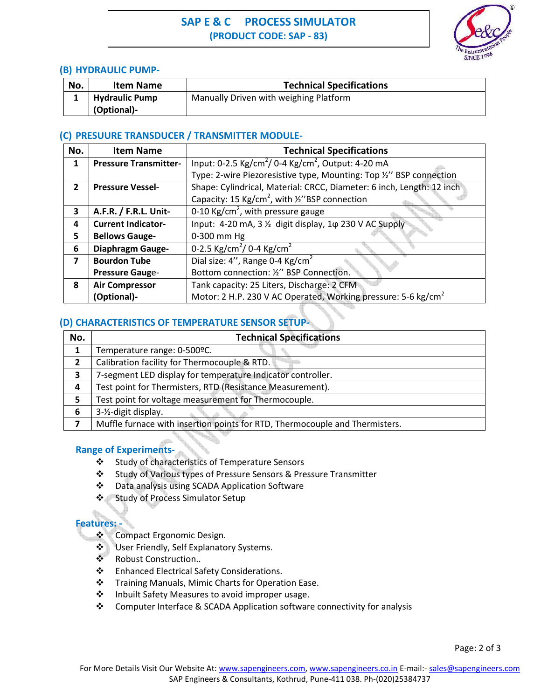# **SAP E & C PROCESS SIMULATOR (PRODUCT CODE: SAP - 83)**



#### **(B) HYDRAULIC PUMP-**

| No. | Item Name             | <b>Technical Specifications</b>        |
|-----|-----------------------|----------------------------------------|
|     | <b>Hydraulic Pump</b> | Manually Driven with weighing Platform |
|     | (Optional)-           |                                        |

### **(C) PRESUURE TRANSDUCER / TRANSMITTER MODULE-**

| No.            | <b>Item Name</b>             | <b>Technical Specifications</b>                                            |
|----------------|------------------------------|----------------------------------------------------------------------------|
| 1              | <b>Pressure Transmitter-</b> | Input: 0-2.5 Kg/cm <sup>2</sup> / 0-4 Kg/cm <sup>2</sup> , Output: 4-20 mA |
|                |                              | Type: 2-wire Piezoresistive type, Mounting: Top 1/2" BSP connection        |
| $\overline{2}$ | <b>Pressure Vessel-</b>      | Shape: Cylindrical, Material: CRCC, Diameter: 6 inch, Length: 12 inch      |
|                |                              | Capacity: 15 Kg/cm <sup>2</sup> , with $\frac{1}{2}$ "BSP connection       |
| 3              | A.F.R. / F.R.L. Unit-        | 0-10 Kg/cm <sup>2</sup> , with pressure gauge                              |
| 4              | <b>Current Indicator-</b>    | Input: 4-20 mA, 3 1/2 digit display, 1 $\varphi$ 230 V AC Supply           |
| 5              | <b>Bellows Gauge-</b>        | 0-300 mm Hg                                                                |
| 6              | Diaphragm Gauge-             | 0-2.5 Kg/cm <sup>2</sup> / 0-4 Kg/cm <sup>2</sup>                          |
| 7              | <b>Bourdon Tube</b>          | Dial size: 4", Range 0-4 Kg/cm <sup>2</sup>                                |
|                | <b>Pressure Gauge-</b>       | Bottom connection: 1/2" BSP Connection.                                    |
| 8              | <b>Air Compressor</b>        | Tank capacity: 25 Liters, Discharge: 2 CFM                                 |
|                | (Optional)-                  | Motor: 2 H.P. 230 V AC Operated, Working pressure: 5-6 kg/cm <sup>2</sup>  |

### **(D) CHARACTERISTICS OF TEMPERATURE SENSOR SETUP-**

| No. | <b>Technical Specifications</b>                                             |
|-----|-----------------------------------------------------------------------------|
|     | Temperature range: 0-500°C.                                                 |
|     | Calibration facility for Thermocouple & RTD.                                |
| 3   | 7-segment LED display for temperature Indicator controller.                 |
| 4   | Test point for Thermisters, RTD (Resistance Measurement).                   |
| 5   | Test point for voltage measurement for Thermocouple.                        |
| 6   | 3-1/2-digit display.                                                        |
|     | Muffle furnace with insertion points for RTD, Thermocouple and Thermisters. |

#### **Range of Experiments-**

- Study of characteristics of Temperature Sensors
- Study of Various types of Pressure Sensors & Pressure Transmitter
- Data analysis using SCADA Application Software
- Study of Process Simulator Setup

#### **Features: -**

- Compact Ergonomic Design.
- ◆ User Friendly, Self Explanatory Systems.<br>◆ Robust Construction..
- Robust Construction..
- ❖ Enhanced Electrical Safety Considerations.
- Training Manuals, Mimic Charts for Operation Ease.
- ❖ Inbuilt Safety Measures to avoid improper usage.
- Computer Interface & SCADA Application software connectivity for analysis